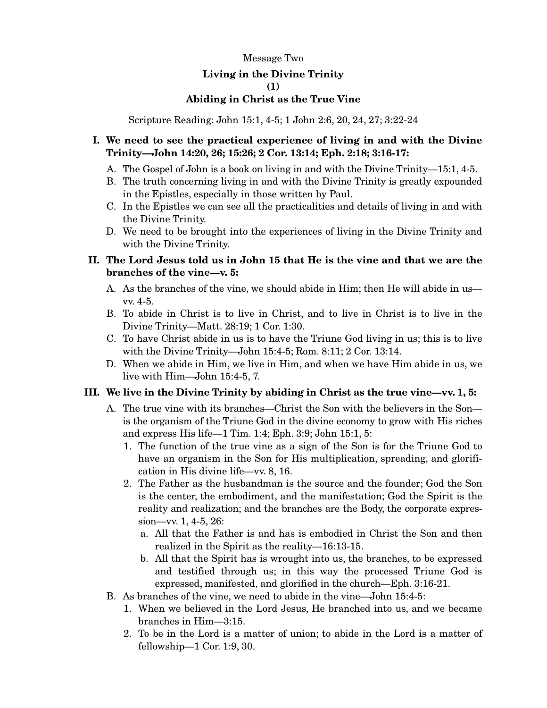### Message Two

# **Living in the Divine Trinity**

### **(1)**

### **Abiding in Christ as the True Vine**

Scripture Reading: John 15:1, 4-5; 1 John 2:6, 20, 24, 27; 3:22-24

## **I. We need to see the practical experience of living in and with the Divine Trinity—John 14:20, 26; 15:26; 2 Cor. 13:14; Eph. 2:18; 3:16-17:**

- A. The Gospel of John is a book on living in and with the Divine Trinity—15:1, 4-5.
- B. The truth concerning living in and with the Divine Trinity is greatly expounded in the Epistles, especially in those written by Paul.
- C. In the Epistles we can see all the practicalities and details of living in and with the Divine Trinity.
- D. We need to be brought into the experiences of living in the Divine Trinity and with the Divine Trinity.

# **II. The Lord Jesus told us in John 15 that He is the vine and that we are the branches of the vine—v. 5:**

- A. As the branches of the vine, we should abide in Him; then He will abide in us vv. 4-5.
- B. To abide in Christ is to live in Christ, and to live in Christ is to live in the Divine Trinity—Matt. 28:19; 1 Cor. 1:30.
- C. To have Christ abide in us is to have the Triune God living in us; this is to live with the Divine Trinity—John 15:4-5; Rom. 8:11; 2 Cor. 13:14.
- D. When we abide in Him, we live in Him, and when we have Him abide in us, we live with Him—John 15:4-5, 7.

## **III. We live in the Divine Trinity by abiding in Christ as the true vine—vv. 1, 5:**

- A. The true vine with its branches—Christ the Son with the believers in the Son is the organism of the Triune God in the divine economy to grow with His riches and express His life—1 Tim. 1:4; Eph. 3:9; John 15:1, 5:
	- 1. The function of the true vine as a sign of the Son is for the Triune God to have an organism in the Son for His multiplication, spreading, and glorification in His divine life—vv. 8, 16.
	- 2. The Father as the husbandman is the source and the founder; God the Son is the center, the embodiment, and the manifestation; God the Spirit is the reality and realization; and the branches are the Body, the corporate expression—vv. 1, 4-5, 26:
		- a. All that the Father is and has is embodied in Christ the Son and then realized in the Spirit as the reality—16:13-15.
		- b. All that the Spirit has is wrought into us, the branches, to be expressed and testified through us; in this way the processed Triune God is expressed, manifested, and glorified in the church—Eph. 3:16-21.
- B. As branches of the vine, we need to abide in the vine—John 15:4-5:
	- 1. When we believed in the Lord Jesus, He branched into us, and we became branches in Him—3:15.
	- 2. To be in the Lord is a matter of union; to abide in the Lord is a matter of fellowship—1 Cor. 1:9, 30.